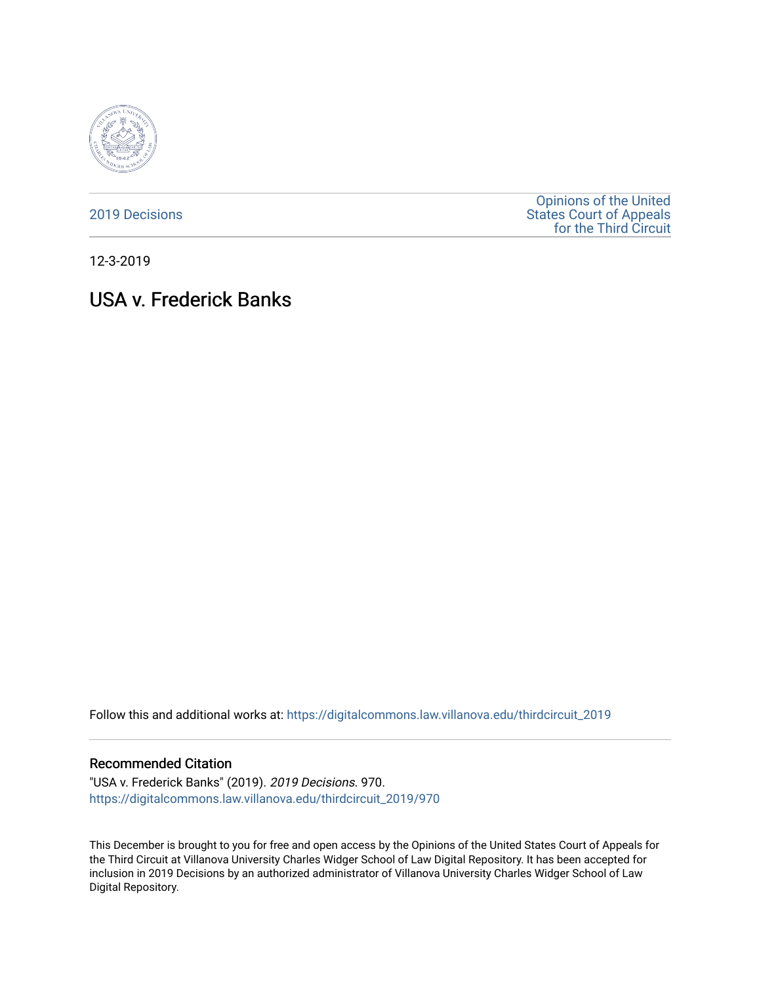

## [2019 Decisions](https://digitalcommons.law.villanova.edu/thirdcircuit_2019)

[Opinions of the United](https://digitalcommons.law.villanova.edu/thirdcircuit)  [States Court of Appeals](https://digitalcommons.law.villanova.edu/thirdcircuit)  [for the Third Circuit](https://digitalcommons.law.villanova.edu/thirdcircuit) 

12-3-2019

# USA v. Frederick Banks

Follow this and additional works at: [https://digitalcommons.law.villanova.edu/thirdcircuit\\_2019](https://digitalcommons.law.villanova.edu/thirdcircuit_2019?utm_source=digitalcommons.law.villanova.edu%2Fthirdcircuit_2019%2F970&utm_medium=PDF&utm_campaign=PDFCoverPages) 

#### Recommended Citation

"USA v. Frederick Banks" (2019). 2019 Decisions. 970. [https://digitalcommons.law.villanova.edu/thirdcircuit\\_2019/970](https://digitalcommons.law.villanova.edu/thirdcircuit_2019/970?utm_source=digitalcommons.law.villanova.edu%2Fthirdcircuit_2019%2F970&utm_medium=PDF&utm_campaign=PDFCoverPages)

This December is brought to you for free and open access by the Opinions of the United States Court of Appeals for the Third Circuit at Villanova University Charles Widger School of Law Digital Repository. It has been accepted for inclusion in 2019 Decisions by an authorized administrator of Villanova University Charles Widger School of Law Digital Repository.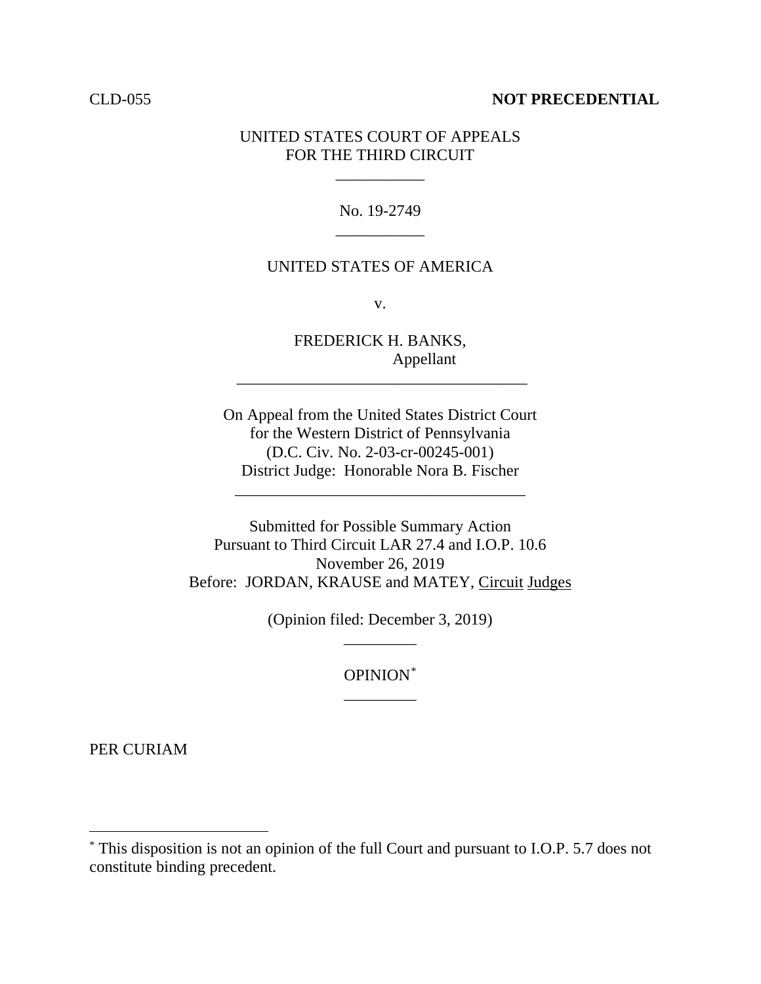### CLD-055 **NOT PRECEDENTIAL**

## UNITED STATES COURT OF APPEALS FOR THE THIRD CIRCUIT

\_\_\_\_\_\_\_\_\_\_\_

No. 19-2749 \_\_\_\_\_\_\_\_\_\_\_

## UNITED STATES OF AMERICA

v.

FREDERICK H. BANKS, Appellant

\_\_\_\_\_\_\_\_\_\_\_\_\_\_\_\_\_\_\_\_\_\_\_\_\_\_\_\_\_\_\_\_\_\_\_\_

On Appeal from the United States District Court for the Western District of Pennsylvania (D.C. Civ. No. 2-03-cr-00245-001) District Judge: Honorable Nora B. Fischer

\_\_\_\_\_\_\_\_\_\_\_\_\_\_\_\_\_\_\_\_\_\_\_\_\_\_\_\_\_\_\_\_\_\_\_\_

Submitted for Possible Summary Action Pursuant to Third Circuit LAR 27.4 and I.O.P. 10.6 November 26, 2019 Before: JORDAN, KRAUSE and MATEY, Circuit Judges

> (Opinion filed: December 3, 2019) \_\_\_\_\_\_\_\_\_

> > OPINION[\\*](#page-1-0) \_\_\_\_\_\_\_\_\_

PER CURIAM

<span id="page-1-0"></span> <sup>\*</sup> This disposition is not an opinion of the full Court and pursuant to I.O.P. 5.7 does not constitute binding precedent.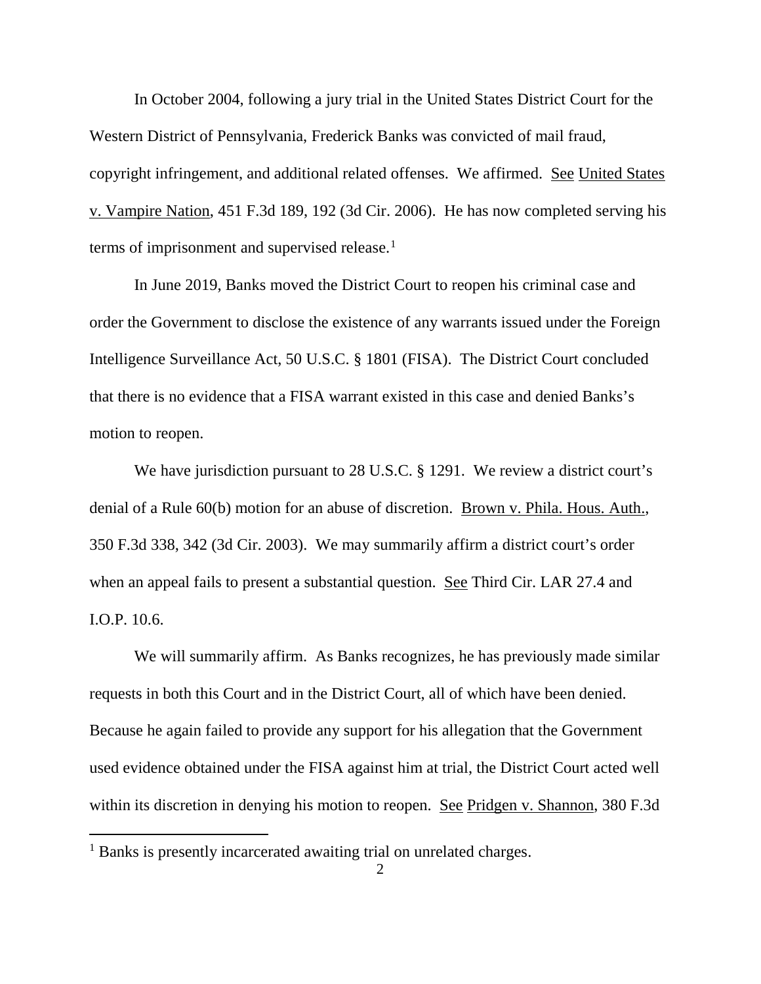In October 2004, following a jury trial in the United States District Court for the Western District of Pennsylvania, Frederick Banks was convicted of mail fraud, copyright infringement, and additional related offenses. We affirmed. See United States v. Vampire Nation, 451 F.3d 189, 192 (3d Cir. 2006). He has now completed serving his terms of imprisonment and supervised release. [1](#page-2-0)

In June 2019, Banks moved the District Court to reopen his criminal case and order the Government to disclose the existence of any warrants issued under the Foreign Intelligence Surveillance Act, 50 U.S.C. § 1801 (FISA). The District Court concluded that there is no evidence that a FISA warrant existed in this case and denied Banks's motion to reopen.

We have jurisdiction pursuant to 28 U.S.C. § 1291. We review a district court's denial of a Rule 60(b) motion for an abuse of discretion. Brown v. Phila. Hous. Auth., 350 F.3d 338, 342 (3d Cir. 2003). We may summarily affirm a district court's order when an appeal fails to present a substantial question. See Third Cir. LAR 27.4 and I.O.P. 10.6.

We will summarily affirm. As Banks recognizes, he has previously made similar requests in both this Court and in the District Court, all of which have been denied. Because he again failed to provide any support for his allegation that the Government used evidence obtained under the FISA against him at trial, the District Court acted well within its discretion in denying his motion to reopen. See Pridgen v. Shannon, 380 F.3d

<span id="page-2-0"></span><sup>&</sup>lt;sup>1</sup> Banks is presently incarcerated awaiting trial on unrelated charges.